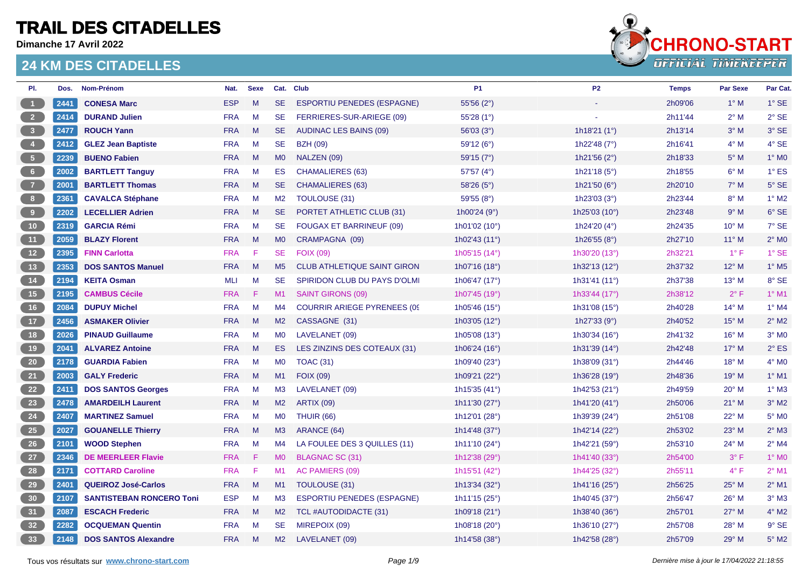**Dimanche 17 Avril 2022**



| PI.                                                   | Dos. | Nom-Prénom                      | Nat.       | <b>Sexe</b> |                | Cat. Club                           | P <sub>1</sub>         | P <sub>2</sub>           | <b>Temps</b> | <b>Par Sexe</b> | Par Cat.                 |
|-------------------------------------------------------|------|---------------------------------|------------|-------------|----------------|-------------------------------------|------------------------|--------------------------|--------------|-----------------|--------------------------|
| $\blacksquare$                                        | 2441 | <b>CONESA Marc</b>              | <b>ESP</b> | M           | <b>SE</b>      | <b>ESPORTIU PENEDES (ESPAGNE)</b>   | 55'56 (2°)             |                          | 2h09'06      | $1^\circ$ M     | $1^\circ$ SE             |
| $\overline{\phantom{a}}$ 2                            | 2414 | <b>DURAND Julien</b>            | <b>FRA</b> | M           | <b>SE</b>      | FERRIERES-SUR-ARIEGE (09)           | 55'28 (1°)             |                          | 2h11'44      | $2^{\circ}$ M   | $2°$ SE                  |
| $\begin{array}{ c c } \hline 3 \\ \hline \end{array}$ | 2477 | <b>ROUCH Yann</b>               | <b>FRA</b> | M           | <b>SE</b>      | AUDINAC LES BAINS (09)              | 56'03(3°)              | 1h18'21 $(1^{\circ})$    | 2h13'14      | $3^\circ$ M     | 3° SE                    |
| $\begin{array}{ c c } \hline \end{array}$             | 2412 | <b>GLEZ Jean Baptiste</b>       | <b>FRA</b> | M           | <b>SE</b>      | <b>BZH (09)</b>                     | 59'12 (6°)             | 1h22'48 $(7°)$           | 2h16'41      | $4^\circ$ M     | 4° SE                    |
| $\begin{bmatrix} 5 \end{bmatrix}$                     | 2239 | <b>BUENO Fabien</b>             | <b>FRA</b> | M           | M <sub>0</sub> | NALZEN (09)                         | 59'15(7°)              | 1h21'56 (2°)             | 2h18'33      | $5^\circ$ M     | $1^\circ$ MO             |
| 6 <sub>6</sub>                                        | 2002 | <b>BARTLETT Tanguy</b>          | <b>FRA</b> | M           | ES             | <b>CHAMALIERES (63)</b>             | 57'57 (4°)             | 1h21'18 (5°)             | 2h18'55      | $6^\circ$ M     | $1^{\circ}$ ES           |
| $\begin{array}{c} 7 \end{array}$                      | 2001 | <b>BARTLETT Thomas</b>          | <b>FRA</b> | M           | <b>SE</b>      | <b>CHAMALIERES (63)</b>             | 58'26 (5°)             | 1h21'50 $(6^{\circ})$    | 2h20'10      | $7^\circ$ M     | $5^\circ$ SE             |
| $\begin{array}{c} \bullet \\ \bullet \end{array}$     | 2361 | <b>CAVALCA Stéphane</b>         | <b>FRA</b> | M           | M2             | TOULOUSE (31)                       | 59'55(8°)              | 1h23'03 $(3°)$           | 2h23'44      | $8^\circ$ M     | $1^\circ$ M2             |
| $\begin{bmatrix} 9 \end{bmatrix}$                     | 2202 | <b>LECELLIER Adrien</b>         | <b>FRA</b> | M           | SE.            | PORTET ATHLETIC CLUB (31)           | 1h00'24 $(9°)$         | 1h25'03 (10°)            | 2h23'48      | 9° M            | 6° SE                    |
| 10                                                    | 2319 | <b>GARCIA Rémi</b>              | <b>FRA</b> | M           | <b>SE</b>      | <b>FOUGAX ET BARRINEUF (09)</b>     | 1h01'02 (10°)          | 1h24'20 (4°)             | 2h24'35      | $10^{\circ}$ M  | 7° SE                    |
| $-11$                                                 | 2059 | <b>BLAZY Florent</b>            | <b>FRA</b> | M           | <b>MO</b>      | CRAMPAGNA (09)                      | 1h02'43 (11°)          | 1h26'55 $(8^{\circ})$    | 2h27'10      | $11^{\circ}$ M  | $2^{\circ}$ MO           |
| 12                                                    | 2395 | <b>FINN Carlotta</b>            | <b>FRA</b> | F           | <b>SE</b>      | <b>FOIX (09)</b>                    | 1h05'15 (14°)          | 1h30'20 (13°)            | 2h32'21      | $1^{\circ}$ F   | $1^\circ$ SE             |
| $-13$                                                 | 2353 | <b>DOS SANTOS Manuel</b>        | <b>FRA</b> | M           | M <sub>5</sub> | <b>CLUB ATHLETIQUE SAINT GIRON</b>  | 1h07'16 $(18°)$        | 1h32'13 $(12^{\circ})$   | 2h37'32      | $12^{\circ}$ M  | $1^\circ$ M <sub>5</sub> |
| 14                                                    | 2194 | <b>KEITA Osman</b>              | <b>MLI</b> | M           | <b>SE</b>      | SPIRIDON CLUB DU PAYS D'OLMI        | 1h06'47 (17°)          | 1h31'41 (11°)            | 2h37'38      | $13^{\circ}$ M  | 8° SE                    |
| (15)                                                  | 2195 | <b>CAMBUS Cécile</b>            | <b>FRA</b> | -F          | M1             | <b>SAINT GIRONS (09)</b>            | 1h07'45 (19°)          | 1h33'44 (17°)            | 2h38'12      | $2^{\circ}$ F   | $1^\circ$ M1             |
| 16                                                    | 2084 | <b>DUPUY Michel</b>             | <b>FRA</b> | M           | M4             | <b>COURRIR ARIEGE PYRENEES (09)</b> | 1h05'46 $(15^{\circ})$ | 1h31'08 (15°)            | 2h40'28      | $14^{\circ}$ M  | $1^\circ$ M4             |
| $\begin{bmatrix} 17 \end{bmatrix}$                    | 2456 | <b>ASMAKER Olivier</b>          | <b>FRA</b> | M           | M2             | CASSAGNE (31)                       | 1h03'05 (12°)          | 1h27'33 (9°)             | 2h40'52      | $15^{\circ}$ M  | $2^{\circ}$ M2           |
| 18                                                    | 2026 | <b>PINAUD Guillaume</b>         | <b>FRA</b> | M           | <b>MO</b>      | LAVELANET (09)                      | 1h05'08 (13°)          | 1h30'34 (16°)            | 2h41'32      | $16^{\circ}$ M  | $3°$ MO                  |
| 19                                                    | 2041 | <b>ALVAREZ Antoine</b>          | <b>FRA</b> | M           | ES.            | LES ZINZINS DES COTEAUX (31)        | 1h06'24 (16°)          | 1h31'39 (14°)            | 2h42'48      | $17^{\circ}$ M  | $2^{\circ}$ ES           |
| 20                                                    | 2178 | <b>GUARDIA Fabien</b>           | <b>FRA</b> | M           | MO             | <b>TOAC (31)</b>                    | 1h09'40 (23°)          | 1h38'09 (31°)            | 2h44'46      | $18^{\circ}$ M  | $4^\circ$ MO             |
| 21                                                    | 2003 | <b>GALY Frederic</b>            | <b>FRA</b> | M           | M1             | <b>FOIX (09)</b>                    | 1h09'21 $(22^{\circ})$ | 1h36'28 $(19°)$          | 2h48'36      | 19° M           | $1^\circ$ M1             |
| 22                                                    | 2411 | <b>DOS SANTOS Georges</b>       | <b>FRA</b> | M           | M <sub>3</sub> | LAVELANET (09)                      | 1h15'35 (41°)          | 1h42'53 (21°)            | 2h49'59      | $20^\circ$ M    | $1°$ M3                  |
| 23                                                    | 2478 | <b>AMARDEILH Laurent</b>        | <b>FRA</b> | M           | M <sub>2</sub> | <b>ARTIX (09)</b>                   | 1h11'30 (27°)          | 1h41'20 (41°)            | 2h50'06      | $21^{\circ}$ M  | $3°$ M2                  |
| 24                                                    | 2407 | <b>MARTINEZ Samuel</b>          | <b>FRA</b> | M           | M <sub>0</sub> | <b>THUIR (66)</b>                   | 1h12'01 (28°)          | 1h39'39 (24°)            | 2h51'08      | 22° M           | $5^\circ$ MO             |
| 25                                                    | 2027 | <b>GOUANELLE Thierry</b>        | <b>FRA</b> | M           | M <sub>3</sub> | ARANCE (64)                         | 1h14'48 $(37°)$        | 1h42'14 (22 $^{\circ}$ ) | 2h53'02      | $23^\circ$ M    | $2^{\circ}$ M3           |
| 26                                                    | 2101 | <b>WOOD Stephen</b>             | <b>FRA</b> | M           | M4             | LA FOULEE DES 3 QUILLES (11)        | 1h11'10 (24°)          | 1h42'21 (59°)            | 2h53'10      | 24° M           | $2^{\circ}$ M4           |
| 27                                                    | 2346 | <b>DE MEERLEER Flavie</b>       | <b>FRA</b> | F           | M <sub>0</sub> | BLAGNAC SC (31)                     | 1h12'38 (29°)          | 1h41'40 (33°)            | 2h54'00      | $3^{\circ}$ F   | $1^\circ$ MO             |
| 28                                                    | 2171 | <b>COTTARD Caroline</b>         | <b>FRA</b> | -F          | M1             | AC PAMIERS (09)                     | 1h15'51 (42°)          | 1h44'25 (32°)            | 2h55'11      | $4^{\circ}$ F   | $2^{\circ}$ M1           |
| 29                                                    | 2401 | <b>QUEIROZ José-Carlos</b>      | <b>FRA</b> | M           | M1             | TOULOUSE (31)                       | 1h13'34 (32°)          | 1h41'16 $(25^{\circ})$   | 2h56'25      | $25^{\circ}$ M  | $2^{\circ}$ M1           |
| 30 <sup>°</sup>                                       | 2107 | <b>SANTISTEBAN RONCERO Toni</b> | <b>ESP</b> | M           | M3             | <b>ESPORTIU PENEDES (ESPAGNE)</b>   | 1h11'15 (25°)          | 1h40'45 (37°)            | 2h56'47      | 26° M           | $3°$ M3                  |
| 31                                                    | 2087 | <b>ESCACH Frederic</b>          | <b>FRA</b> | M           | M2             | TCL #AUTODIDACTE (31)               | 1h09'18 (21°)          | 1h38'40 (36°)            | 2h57'01      | $27^\circ$ M    | $4^\circ$ M2             |
| 32                                                    | 2282 | <b>OCQUEMAN Quentin</b>         | <b>FRA</b> | M           | <b>SE</b>      | MIREPOIX (09)                       | 1h08'18 (20°)          | 1h36'10 (27°)            | 2h57'08      | 28° M           | $9°$ SE                  |
| 33                                                    | 2148 | <b>DOS SANTOS Alexandre</b>     | <b>FRA</b> | M           | M2             | LAVELANET (09)                      | 1h14'58 $(38°)$        | 1h42'58 (28°)            | 2h57'09      | $29^\circ$ M    | $5^\circ$ M2             |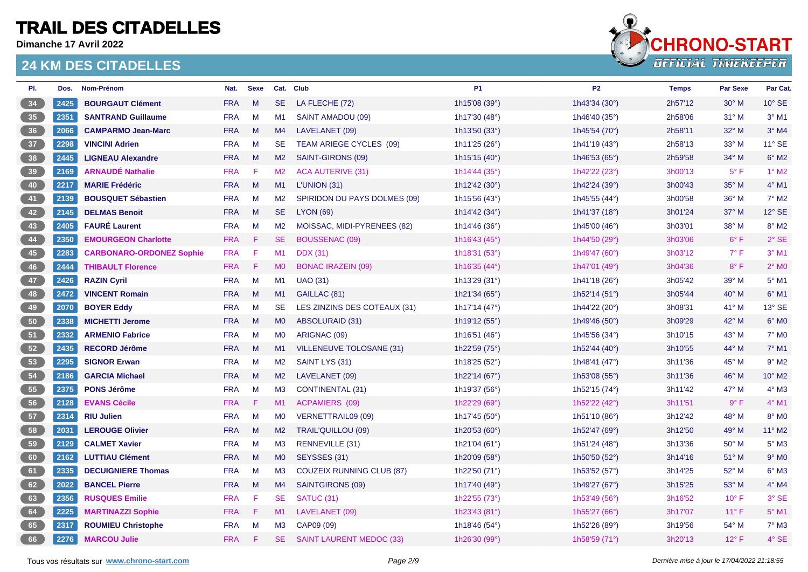**Dimanche 17 Avril 2022**



| PI.      | Dos. | <b>Nom-Prénom</b>               | Nat.       | <b>Sexe</b> |                | Cat. Club                        | <b>P1</b>                | <b>P2</b>                | <b>Temps</b> | <b>Par Sexe</b> | Par Cat.                   |
|----------|------|---------------------------------|------------|-------------|----------------|----------------------------------|--------------------------|--------------------------|--------------|-----------------|----------------------------|
| 34       | 2425 | <b>BOURGAUT Clément</b>         | <b>FRA</b> | M           | <b>SE</b>      | LA FLECHE (72)                   | 1h15'08 (39°)            | 1h43'34 (30°)            | 2h57'12      | $30^\circ$ M    | $10^{\circ}$ SE            |
| 35       | 2351 | <b>SANTRAND Guillaume</b>       | <b>FRA</b> | M           | M1             | SAINT AMADOU (09)                | 1h17'30 (48°)            | 1h46'40 (35°)            | 2h58'06      | $31^\circ$ M    | $3°$ M1                    |
| 36       | 2066 | <b>CAMPARMO Jean-Marc</b>       | <b>FRA</b> | M           | M4             | LAVELANET (09)                   | 1h13'50 (33°)            | 1h45'54 $(70^{\circ})$   | 2h58'11      | $32^\circ$ M    | $3°$ M4                    |
| 37       | 2298 | <b>VINCINI Adrien</b>           | <b>FRA</b> | M           | <b>SE</b>      | TEAM ARIEGE CYCLES (09)          | 1h11'25 $(26°)$          | 1h41'19 $(43°)$          | 2h58'13      | $33^\circ$ M    | $11^\circ$ SE              |
| 38       | 2445 | <b>LIGNEAU Alexandre</b>        | <b>FRA</b> | M           | M2             | SAINT-GIRONS (09)                | 1h15'15 (40°)            | 1h46'53 (65°)            | 2h59'58      | $34^\circ$ M    | $6^\circ$ M2               |
| 39       | 2169 | <b>ARNAUDÉ Nathalie</b>         | <b>FRA</b> | F           | M <sub>2</sub> | <b>ACA AUTERIVE (31)</b>         | 1h14'44 (35 $^{\circ}$ ) | 1h42'22 (23°)            | 3h00'13      | $5^{\circ}$ F   | $1^\circ$ M2               |
| 40       | 2217 | <b>MARIE Frédéric</b>           | <b>FRA</b> | M           | M1             | L'UNION (31)                     | 1h12'42 (30°)            | 1h42'24 (39°)            | 3h00'43      | $35^\circ$ M    | $4°$ M1                    |
| 41       | 2139 | <b>BOUSQUET Sébastien</b>       | <b>FRA</b> | M           | M <sub>2</sub> | SPIRIDON DU PAYS DOLMES (09)     | 1h15'56 (43°)            | 1h45'55 (44°)            | 3h00'58      | $36^{\circ}$ M  | $7^\circ$ M2               |
| 42       | 2145 | <b>DELMAS Benoit</b>            | <b>FRA</b> | M           | <b>SE</b>      | <b>LYON (69)</b>                 | 1h14'42 $(34^{\circ})$   | 1h41'37 (18 $^{\circ}$ ) | 3h01'24      | $37^\circ$ M    | $12^{\circ}$ SE            |
| 43       | 2405 | <b>FAURÉ Laurent</b>            | <b>FRA</b> | M           | M <sub>2</sub> | MOISSAC, MIDI-PYRENEES (82)      | 1h14'46 $(36°)$          | 1h45'00 (46°)            | 3h03'01      | $38^\circ$ M    | 8° M2                      |
| 44       | 2350 | <b>EMOURGEON Charlotte</b>      | <b>FRA</b> | - F         | SE.            | BOUSSENAC (09)                   | 1h16'43 $(45^{\circ})$   | 1h44'50 (29°)            | 3h03'06      | $6^{\circ}$ F   | $2°$ SE                    |
| 45       | 2283 | <b>CARBONARO-ORDONEZ Sophie</b> | <b>FRA</b> | F           | M1             | <b>DDX</b> (31)                  | 1h18'31 (53°)            | 1h49'47 (60°)            | 3h03'12      | $7^\circ$ F     | $3°$ M1                    |
| 46       | 2444 | <b>THIBAULT Florence</b>        | <b>FRA</b> | - F         | M <sub>0</sub> | <b>BONAC IRAZEIN (09)</b>        | 1h16'35 (44°)            | 1h47'01 (49°)            | 3h04'36      | $8^{\circ}$ F   | $2^{\circ}$ M <sub>0</sub> |
| 47       | 2426 | <b>RAZIN Cyril</b>              | <b>FRA</b> | M           | M1             | <b>UAO (31)</b>                  | 1h13'29 (31°)            | 1h41'18 (26°)            | 3h05'42      | $39^\circ$ M    | $5^\circ$ M1               |
| 48       | 2472 | <b>VINCENT Romain</b>           | <b>FRA</b> | M           | M1             | GAILLAC (81)                     | 1h21'34 ( $65^{\circ}$ ) | 1h52'14 $(51^{\circ})$   | 3h05'44      | $40^{\circ}$ M  | $6°$ M1                    |
| 49       | 2070 | <b>BOYER Eddy</b>               | <b>FRA</b> | M           | <b>SE</b>      | LES ZINZINS DES COTEAUX (31)     | 1h17'14 $(47°)$          | 1h44'22 (20°)            | 3h08'31      | $41^\circ$ M    | 13° SE                     |
| 50       | 2338 | <b>MICHETTI Jerome</b>          | <b>FRA</b> | M           | M <sub>0</sub> | ABSOLURAID (31)                  | 1h19'12 (55°)            | 1h49'46 (50°)            | 3h09'29      | $42^{\circ}$ M  | $6^\circ$ MO               |
| 51<br>ı  | 2332 | <b>ARMENIO Fabrice</b>          | <b>FRA</b> | M           | M <sub>0</sub> | ARIGNAC (09)                     | 1h16'51 $(46°)$          | 1h45'56 (34°)            | 3h10'15      | 43° M           | 7° M <sub>0</sub>          |
| 52       | 2435 | <b>RECORD Jérôme</b>            | <b>FRA</b> | M           | M1             | VILLENEUVE TOLOSANE (31)         | 1h22'59 (75°)            | 1h52'44 (40°)            | 3h10'55      | 44° M           | $7°$ M1                    |
| 53       | 2295 | <b>SIGNOR Erwan</b>             | <b>FRA</b> | M           | M2             | SAINT LYS (31)                   | 1h18'25 (52°)            | 1h48'41 (47°)            | 3h11'36      | $45^{\circ}$ M  | $9°$ M <sub>2</sub>        |
| 54       | 2186 | <b>GARCIA Michael</b>           | <b>FRA</b> | M           | M2             | LAVELANET (09)                   | 1h22'14 (67°)            | 1h53'08 $(55^{\circ})$   | 3h11'36      | 46° M           | 10° M2                     |
| 55       | 2375 | <b>PONS Jérôme</b>              | <b>FRA</b> | M           | M <sub>3</sub> | <b>CONTINENTAL (31)</b>          | 1h19'37 (56°)            | 1h52'15 (74°)            | 3h11'42      | 47° M           | $4^\circ$ M3               |
| 56       | 2128 | <b>EVANS Cécile</b>             | <b>FRA</b> | - F         | M1             | <b>ACPAMIERS (09)</b>            | 1h22'29 (69°)            | 1h52'22 (42°)            | 3h11'51      | $9^{\circ}$ F   | $4^\circ$ M1               |
| 57       | 2314 | <b>RIU Julien</b>               | <b>FRA</b> | M           | M <sub>0</sub> | VERNETTRAIL09 (09)               | 1h17'45 (50°)            | 1h51'10 $(86°)$          | 3h12'42      | 48° M           | 8° M <sub>0</sub>          |
| 58       | 2031 | <b>LEROUGE Olivier</b>          | <b>FRA</b> | M           | M2             | <b>TRAIL'QUILLOU (09)</b>        | 1h20'53 (60°)            | 1h52'47 (69°)            | 3h12'50      | 49° M           | 11° M2                     |
| 59       | 2129 | <b>CALMET Xavier</b>            | <b>FRA</b> | M           | M3             | RENNEVILLE (31)                  | 1h21'04 (61°)            | 1h51'24 $(48°)$          | 3h13'36      | $50^\circ$ M    | $5^\circ$ M3               |
| 60<br>ı  | 2162 | <b>LUTTIAU Clément</b>          | <b>FRA</b> | M           | M <sub>0</sub> | SEYSSES (31)                     | 1h20'09 (58°)            | 1h50'50 $(52^{\circ})$   | 3h14'16      | $51^\circ$ M    | $9°$ M <sub>0</sub>        |
| 61       | 2335 | <b>DECUIGNIERE Thomas</b>       | <b>FRA</b> | M           | M3             | <b>COUZEIX RUNNING CLUB (87)</b> | 1h22'50 (71°)            | 1h53'52 (57°)            | 3h14'25      | $52^{\circ}$ M  | $6^\circ$ M3               |
| 62       | 2022 | <b>BANCEL Pierre</b>            | <b>FRA</b> | M           | M4             | SAINTGIRONS (09)                 | 1h17'40 (49°)            | 1h49'27 (67°)            | 3h15'25      | $53^\circ$ M    | $4^\circ$ M4               |
| 63<br>ł. | 2356 | <b>RUSQUES Emilie</b>           | <b>FRA</b> | F           | <b>SE</b>      | SATUC (31)                       | 1h22'55 (73°)            | 1h53'49 (56°)            | 3h16'52      | $10^{\circ}$ F  | 3° SE                      |
| 64       | 2225 | <b>MARTINAZZI Sophie</b>        | <b>FRA</b> | - F         | M1             | LAVELANET (09)                   | 1h23'43 (81°)            | 1h55'27 (66°)            | 3h17'07      | $11^{\circ}$ F  | $5^{\circ}$ M1             |
| 65       | 2317 | <b>ROUMIEU Christophe</b>       | <b>FRA</b> | M           | M <sub>3</sub> | CAP09 (09)                       | 1h18'46 (54°)            | 1h52'26 (89°)            | 3h19'56      | 54° M           | $7°$ M3                    |
| 66       | 2276 | <b>MARCOU Julie</b>             | <b>FRA</b> | -F          | SE.            | <b>SAINT LAURENT MEDOC (33)</b>  | 1h26'30 (99°)            | 1h58'59 $(71°)$          | 3h20'13      | $12^{\circ}$ F  | $4^\circ$ SE               |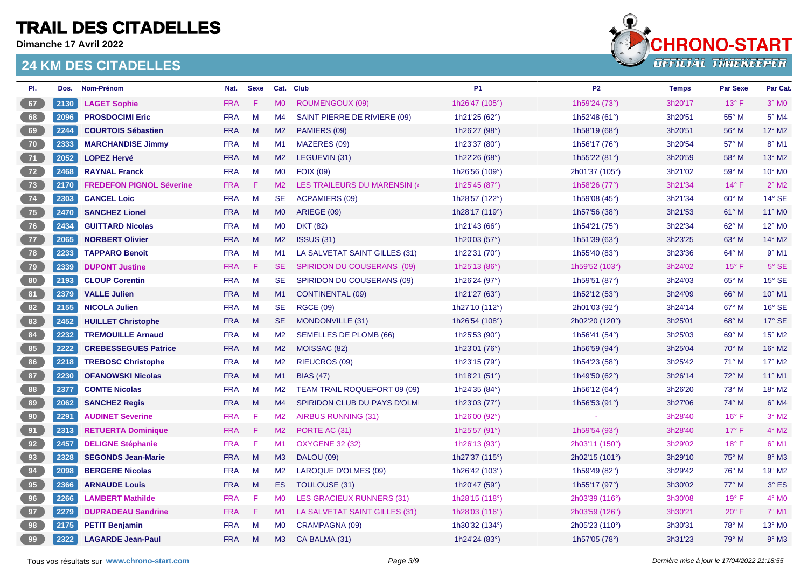**Dimanche 17 Avril 2022**



| PI.                                                                                                                                                                                                                                  | Dos. | Nom-Prénom                      | Nat.       | <b>Sexe</b> |                | Cat. Club                           | <b>P1</b>               | P <sub>2</sub> | <b>Temps</b> | <b>Par Sexe</b> | Par Cat.            |
|--------------------------------------------------------------------------------------------------------------------------------------------------------------------------------------------------------------------------------------|------|---------------------------------|------------|-------------|----------------|-------------------------------------|-------------------------|----------------|--------------|-----------------|---------------------|
| 67                                                                                                                                                                                                                                   | 2130 | <b>LAGET Sophie</b>             | <b>FRA</b> | F           | <b>MO</b>      | ROUMENGOUX (09)                     | 1h26'47 (105°)          | 1h59'24 (73°)  | 3h20'17      | $13^{\circ}$ F  | $3°$ MO             |
| 68<br>ı                                                                                                                                                                                                                              | 2096 | <b>PROSDOCIMI Eric</b>          | <b>FRA</b> | M           | M4             | SAINT PIERRE DE RIVIERE (09)        | 1h21'25 (62°)           | 1h52'48 (61°)  | 3h20'51      | 55° M           | $5^\circ$ M4        |
| 69                                                                                                                                                                                                                                   | 2244 | <b>COURTOIS Sébastien</b>       | <b>FRA</b> | M           | M2             | PAMIERS (09)                        | 1h26'27 (98°)           | 1h58'19 (68°)  | 3h20'51      | 56° M           | 12° M2              |
| 70                                                                                                                                                                                                                                   | 2333 | <b>MARCHANDISE Jimmy</b>        | <b>FRA</b> | M           | M1             | MAZERES (09)                        | 1h23'37 (80°)           | 1h56'17 (76°)  | 3h20'54      | 57° M           | 8° M1               |
| 71                                                                                                                                                                                                                                   | 2052 | <b>LOPEZ Hervé</b>              | <b>FRA</b> | M           | M <sub>2</sub> | LEGUEVIN (31)                       | 1h22'26 (68°)           | 1h55'22 (81°)  | 3h20'59      | 58° M           | 13° M2              |
| 72                                                                                                                                                                                                                                   | 2468 | <b>RAYNAL Franck</b>            | <b>FRA</b> | M           | M0             | <b>FOIX (09)</b>                    | 1h26'56 (109°)          | 2h01'37 (105°) | 3h21'02      | 59° M           | 10° MO              |
| 73                                                                                                                                                                                                                                   | 2170 | <b>FREDEFON PIGNOL Séverine</b> | <b>FRA</b> | -F          | M2             | LES TRAILEURS DU MARENSIN (4        | 1h25'45 (87°)           | 1h58'26 (77°)  | 3h21'34      | $14^{\circ}$ F  | $2°$ M <sub>2</sub> |
| 74                                                                                                                                                                                                                                   | 2303 | <b>CANCEL Loic</b>              | <b>FRA</b> | M           | <b>SE</b>      | <b>ACPAMIERS (09)</b>               | 1h28'57 (122°)          | 1h59'08 (45°)  | 3h21'34      | 60° M           | 14° SE              |
| 75                                                                                                                                                                                                                                   | 2470 | <b>SANCHEZ Lionel</b>           | <b>FRA</b> | M           | <b>MO</b>      | ARIEGE (09)                         | 1h28'17 (119°)          | 1h57'56 (38°)  | 3h21'53      | 61° M           | 11° M0              |
| 76                                                                                                                                                                                                                                   | 2434 | <b>GUITTARD Nicolas</b>         | <b>FRA</b> | M           | M <sub>0</sub> | <b>DKT (82)</b>                     | 1h21'43 (66°)           | 1h54'21 (75°)  | 3h22'34      | 62° M           | 12° MO              |
| 77                                                                                                                                                                                                                                   | 2065 | <b>NORBERT Olivier</b>          | <b>FRA</b> | M           | M2             | <b>ISSUS (31)</b>                   | 1h20'03 (57°)           | 1h51'39 (63°)  | 3h23'25      | 63° M           | 14° M2              |
| 78                                                                                                                                                                                                                                   | 2233 | <b>TAPPARO Benoit</b>           | <b>FRA</b> | M           | M1             | LA SALVETAT SAINT GILLES (31)       | 1h22'31 (70°)           | 1h55'40 (83°)  | 3h23'36      | 64° M           | $9°$ M1             |
| 79                                                                                                                                                                                                                                   | 2339 | <b>DUPONT Justine</b>           | <b>FRA</b> | -F          | SE.            | SPIRIDON DU COUSERANS (09)          | 1h25'13 (86°)           | 1h59'52 (103°) | 3h24'02      | $15^{\circ}$ F  | $5^\circ$ SE        |
| 80                                                                                                                                                                                                                                   | 2193 | <b>CLOUP Corentin</b>           | <b>FRA</b> | M           | <b>SE</b>      | SPIRIDON DU COUSERANS (09)          | 1h26'24 (97°)           | 1h59'51 (87°)  | 3h24'03      | 65° M           | 15° SE              |
| 81<br>J                                                                                                                                                                                                                              | 2379 | <b>VALLE Julien</b>             | <b>FRA</b> | M           | M1             | <b>CONTINENTAL (09)</b>             | 1h21'27 (63°)           | 1h52'12 (53°)  | 3h24'09      | 66° M           | 10° M1              |
| 82<br>i.                                                                                                                                                                                                                             | 2155 | <b>NICOLA Julien</b>            | <b>FRA</b> | M           | <b>SE</b>      | <b>RGCE (09)</b>                    | 1h27'10 (112°)          | 2h01'03 (92°)  | 3h24'14      | $67^\circ$ M    | 16° SE              |
| 83                                                                                                                                                                                                                                   | 2452 | <b>HUILLET Christophe</b>       | <b>FRA</b> | M           | SE.            | <b>MONDONVILLE (31)</b>             | 1h26'54 (108°)          | 2h02'20 (120°) | 3h25'01      | 68° M           | 17° SE              |
| 84<br>ı                                                                                                                                                                                                                              | 2232 | <b>TREMOUILLE Arnaud</b>        | <b>FRA</b> | M           | M2             | SEMELLES DE PLOMB (66)              | 1h25'53 (90°)           | 1h56'41 (54°)  | 3h25'03      | 69° M           | 15° M2              |
| 85                                                                                                                                                                                                                                   | 2222 | <b>CREBESSEGUES Patrice</b>     | <b>FRA</b> | M           | M2             | MOISSAC (82)                        | 1h23'01 (76°)           | 1h56'59 (94°)  | 3h25'04      | $70^\circ$ M    | 16° M2              |
| 86<br>ł.                                                                                                                                                                                                                             | 2218 | <b>TREBOSC Christophe</b>       | <b>FRA</b> | M           | M <sub>2</sub> | <b>RIEUCROS (09)</b>                | 1h23'15 (79°)           | 1h54'23 (58°)  | 3h25'42      | $71^\circ$ M    | 17° M2              |
| 87                                                                                                                                                                                                                                   | 2230 | <b>OFANOWSKI Nicolas</b>        | <b>FRA</b> | M           | M1             | <b>BIAS (47)</b>                    | 1h18'21 (51°)           | 1h49'50 (62°)  | 3h26'14      | 72° M           | $11^{\circ}$ M1     |
| 88                                                                                                                                                                                                                                   | 2377 | <b>COMTE Nicolas</b>            | <b>FRA</b> | M           | M2             | <b>TEAM TRAIL ROQUEFORT 09 (09)</b> | 1h24'35 (84°)           | 1h56'12 (64°)  | 3h26'20      | $73^\circ$ M    | 18° M2              |
| 89                                                                                                                                                                                                                                   | 2062 | <b>SANCHEZ Regis</b>            | <b>FRA</b> | M           | M4             | SPIRIDON CLUB DU PAYS D'OLMI        | 1h23'03 (77°)           | 1h56'53 (91°)  | 3h27'06      | 74° M           | $6°$ M4             |
| 90 <sub>o</sub>                                                                                                                                                                                                                      | 2291 | <b>AUDINET Severine</b>         | <b>FRA</b> | -F          | M <sub>2</sub> | AIRBUS RUNNING (31)                 | 1h26'00 (92°)           |                | 3h28'40      | $16^{\circ}$ F  | $3°$ M2             |
| 91                                                                                                                                                                                                                                   | 2313 | <b>RETUERTA Dominique</b>       | <b>FRA</b> | F           | M2             | PORTE AC (31)                       | 1h25'57 (91°)           | 1h59'54 (93°)  | 3h28'40      | $17^{\circ}$ F  | $4^{\circ}$ M2      |
| 92<br>ı                                                                                                                                                                                                                              | 2457 | <b>DELIGNE Stéphanie</b>        | <b>FRA</b> | F           | M1             | <b>OXYGENE 32 (32)</b>              | 1h26'13 (93°)           | 2h03'11 (150°) | 3h29'02      | $18^{\circ}$ F  | $6°$ M1             |
| 93<br>e e constructo de la constructo de la constructo de la constructo de la constructo de la constructo de la constructo de la construction de la construction de la construction de la construction de la construction de la cons | 2328 | <b>SEGONDS Jean-Marie</b>       | <b>FRA</b> | M           | M3             | <b>DALOU (09)</b>                   | 1h27'37 (115°)          | 2h02'15 (101°) | 3h29'10      | 75° M           | 8° M3               |
| 94                                                                                                                                                                                                                                   | 2098 | <b>BERGERE Nicolas</b>          | <b>FRA</b> | M           | M <sub>2</sub> | <b>LAROQUE D'OLMES (09)</b>         | 1h26'42 (103°)          | 1h59'49 (82°)  | 3h29'42      | 76° M           | 19° M2              |
| 95                                                                                                                                                                                                                                   | 2366 | <b>ARNAUDE Louis</b>            | <b>FRA</b> | M           | ES.            | TOULOUSE (31)                       | 1h20'47 (59°)           | 1h55'17 (97°)  | 3h30'02      | 77° M           | $3°$ ES             |
| 96                                                                                                                                                                                                                                   | 2266 | <b>LAMBERT Mathilde</b>         | <b>FRA</b> | F           | M0             | LES GRACIEUX RUNNERS (31)           | 1h28'15 (118°)          | 2h03'39 (116°) | 3h30'08      | $19^{\circ}$ F  | $4^\circ$ MO        |
| 97                                                                                                                                                                                                                                   | 2279 | <b>DUPRADEAU Sandrine</b>       | <b>FRA</b> | F           | M1             | LA SALVETAT SAINT GILLES (31)       | 1h28'03 $(116^{\circ})$ | 2h03'59 (126°) | 3h30'21      | $20^\circ$ F    | $7°$ M1             |
| 98                                                                                                                                                                                                                                   | 2175 | <b>PETIT Benjamin</b>           | <b>FRA</b> | M           | <b>MO</b>      | CRAMPAGNA (09)                      | 1h30'32 (134°)          | 2h05'23 (110°) | 3h30'31      | 78° M           | 13° MO              |
| 99                                                                                                                                                                                                                                   | 2322 | <b>LAGARDE Jean-Paul</b>        | <b>FRA</b> | M           | M3             | CA BALMA (31)                       | 1h24'24 (83°)           | 1h57'05 (78°)  | 3h31'23      | $79^\circ$ M    | $9°$ M3             |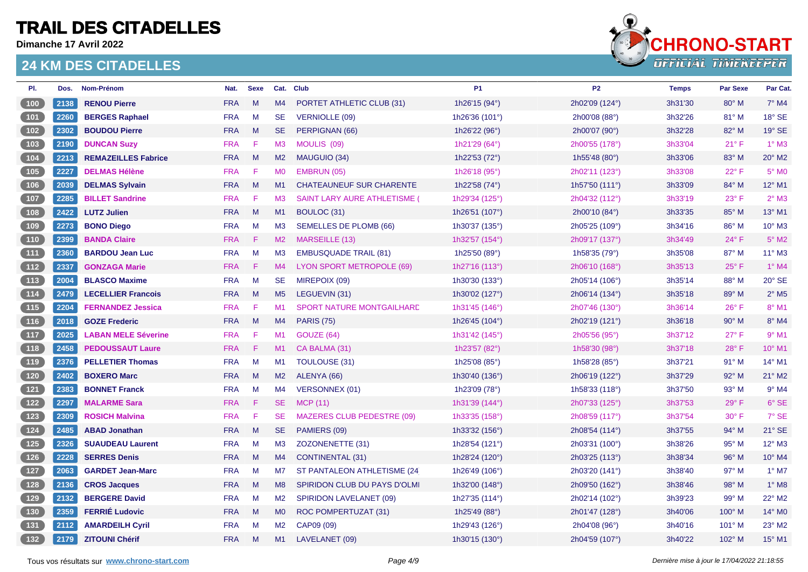**Dimanche 17 Avril 2022**



| PI.                                                         | Dos. | Nom-Prénom                 | Nat.       | <b>Sexe</b> |                | Cat. Club                           | <b>P1</b>               | P <sub>2</sub>   | <b>Temps</b> | <b>Par Sexe</b> | Par Cat.                   |
|-------------------------------------------------------------|------|----------------------------|------------|-------------|----------------|-------------------------------------|-------------------------|------------------|--------------|-----------------|----------------------------|
| 100                                                         | 2138 | <b>RENOU Pierre</b>        | <b>FRA</b> | M           | M4             | PORTET ATHLETIC CLUB (31)           | 1h26'15 (94°)           | 2h02'09 (124°)   | 3h31'30      | $80^\circ$ M    | $7°$ M4                    |
| 101                                                         | 2260 | <b>BERGES Raphael</b>      | <b>FRA</b> | M           | <b>SE</b>      | <b>VERNIOLLE (09)</b>               | 1h26'36 (101°)          | 2h00'08 (88°)    | 3h32'26      | 81° M           | 18° SE                     |
| $\begin{array}{c} \begin{array}{c} \end{array} \end{array}$ | 2302 | <b>BOUDOU Pierre</b>       | <b>FRA</b> | M           | <b>SE</b>      | PERPIGNAN (66)                      | 1h26'22 (96°)           | 2h00'07 (90°)    | 3h32'28      | 82° M           | 19° SE                     |
| $\begin{array}{c} \boxed{103} \end{array}$                  | 2190 | <b>DUNCAN Suzy</b>         | <b>FRA</b> | F.          | M3             | MOULIS (09)                         | 1h21'29 (64°)           | 2h00'55 (178°)   | 3h33'04      | $21^{\circ}$ F  | $1^\circ$ M3               |
| 104                                                         | 2213 | <b>REMAZEILLES Fabrice</b> | <b>FRA</b> | M           | M2             | MAUGUIO (34)                        | 1h22'53 (72°)           | 1h55'48 (80°)    | 3h33'06      | 83° M           | 20° M2                     |
| $105$                                                       | 2227 | <b>DELMAS Hélène</b>       | <b>FRA</b> | F           | <b>MO</b>      | EMBRUN (05)                         | 1h26'18 (95°)           | 2h02'11 (123°)   | 3h33'08      | $22^{\circ}$ F  | $5^\circ$ MO               |
| 106                                                         | 2039 | <b>DELMAS Sylvain</b>      | <b>FRA</b> | M           | M1             | <b>CHATEAUNEUF SUR CHARENTE</b>     | 1h22'58 (74°)           | 1h57'50 $(111°)$ | 3h33'09      | $84^\circ$ M    | 12° M1                     |
| 107                                                         | 2285 | <b>BILLET Sandrine</b>     | <b>FRA</b> | -F          | M <sub>3</sub> | <b>SAINT LARY AURE ATHLETISME (</b> | 1h29'34 (125°)          | 2h04'32 (112°)   | 3h33'19      | $23^{\circ}$ F  | $2^{\circ}$ M3             |
| 108                                                         | 2422 | <b>LUTZ Julien</b>         | <b>FRA</b> | M           | M1             | BOULOC (31)                         | 1h26'51 (107°)          | 2h00'10 (84°)    | 3h33'35      | 85° M           | 13° M1                     |
| 109                                                         | 2273 | <b>BONO Diego</b>          | <b>FRA</b> | M           | M3             | <b>SEMELLES DE PLOMB (66)</b>       | 1h30'37 (135°)          | 2h05'25 (109°)   | 3h34'16      | 86° M           | 10° M3                     |
| (110)                                                       | 2399 | <b>BANDA Claire</b>        | <b>FRA</b> | F           | M2             | MARSEILLE (13)                      | 1h32'57 (154°)          | 2h09'17 (137°)   | 3h34'49      | $24^{\circ}$ F  | $5^\circ$ M2               |
| (111)                                                       | 2360 | <b>BARDOU Jean Luc</b>     | <b>FRA</b> | M           | M <sub>3</sub> | <b>EMBUSQUADE TRAIL (81)</b>        | 1h25'50 (89°)           | 1h58'35 $(79°)$  | 3h35'08      | $87^\circ$ M    | 11° M3                     |
| (112)                                                       | 2337 | <b>GONZAGA Marie</b>       | <b>FRA</b> | Æ           | M4             | LYON SPORT METROPOLE (69)           | 1h27'16 (113°)          | 2h06'10 (168°)   | 3h35'13      | $25^{\circ}$ F  | $1°$ M4                    |
| 113                                                         | 2004 | <b>BLASCO Maxime</b>       | <b>FRA</b> | M           | <b>SE</b>      | MIREPOIX (09)                       | 1h30'30 (133°)          | 2h05'14 (106°)   | 3h35'14      | 88° M           | $20^\circ$ SE              |
| (114)                                                       | 2479 | <b>LECELLIER Francois</b>  | <b>FRA</b> | M           | M <sub>5</sub> | LEGUEVIN (31)                       | 1h30'02 (127°)          | 2h06'14 (134°)   | 3h35'18      | 89° M           | $2^{\circ}$ M <sub>5</sub> |
| (115)                                                       | 2204 | <b>FERNANDEZ Jessica</b>   | <b>FRA</b> | F           | M1             | <b>SPORT NATURE MONTGAILHARD</b>    | 1h31'45 (146°)          | 2h07'46 (130°)   | 3h36'14      | $26^{\circ}$ F  | 8° M1                      |
| (116)                                                       | 2018 | <b>GOZE Frederic</b>       | <b>FRA</b> | M           | M4             | <b>PARIS (75)</b>                   | 1h26'45 $(104^{\circ})$ | 2h02'19 (121°)   | 3h36'18      | 90° M           | 8° M4                      |
| $\begin{array}{c} \n \textbf{117}\n \end{array}$            | 2025 | <b>LABAN MELE Séverine</b> | <b>FRA</b> | F           | M1             | GOUZE (64)                          | 1h31'42 (145°)          | 2h05'56 (95°)    | 3h37'12      | $27^\circ$ F    | $9°$ M1                    |
| $\begin{array}{c} \boxed{118} \end{array}$                  | 2458 | <b>PEDOUSSAUT Laure</b>    | <b>FRA</b> | -F.         | M1             | CA BALMA (31)                       | 1h23'57 (82°)           | 1h58'30 (98°)    | 3h37'18      | $28^{\circ}$ F  | 10° M1                     |
| $119$                                                       | 2376 | <b>PELLETIER Thomas</b>    | <b>FRA</b> | M           | M1             | TOULOUSE (31)                       | 1h25'08 (85°)           | 1h58'28 (85°)    | 3h37'21      | $91^\circ$ M    | 14° M1                     |
| 120                                                         | 2402 | <b>BOXERO Marc</b>         | <b>FRA</b> | M           | M2             | ALENYA (66)                         | 1h30'40 (136°)          | 2h06'19 (122°)   | 3h37'29      | 92° M           | 21° M2                     |
| $121$                                                       | 2383 | <b>BONNET Franck</b>       | <b>FRA</b> | M           | M4             | VERSONNEX (01)                      | 1h23'09 (78°)           | 1h58'33 $(118°)$ | 3h37'50      | 93° M           | $9°$ M4                    |
| $\begin{array}{c} \boxed{122} \end{array}$                  | 2297 | <b>MALARME Sara</b>        | <b>FRA</b> | -F.         | SE.            | <b>MCP (11)</b>                     | 1h31'39 (144°)          | 2h07'33 (125°)   | 3h37'53      | $29^\circ$ F    | 6° SE                      |
| $123$                                                       | 2309 | <b>ROSICH Malvina</b>      | <b>FRA</b> | -F.         | SE.            | <b>MAZERES CLUB PEDESTRE (09)</b>   | 1h33'35 (158°)          | 2h08'59 (117°)   | 3h37'54      | $30^\circ$ F    | 7° SE                      |
| $124$                                                       | 2485 | <b>ABAD Jonathan</b>       | <b>FRA</b> | M           | <b>SE</b>      | PAMIERS (09)                        | 1h33'32 (156°)          | 2h08'54 (114°)   | 3h37'55      | 94° M           | 21° SE                     |
| $125$                                                       | 2326 | <b>SUAUDEAU Laurent</b>    | <b>FRA</b> | M           | M3             | ZOZONENETTE (31)                    | 1h28'54 (121°)          | 2h03'31 (100°)   | 3h38'26      | 95° M           | 12° M3                     |
| $126$                                                       | 2228 | <b>SERRES Denis</b>        | <b>FRA</b> | M           | M4             | <b>CONTINENTAL (31)</b>             | 1h28'24 (120°)          | 2h03'25 (113°)   | 3h38'34      | 96° M           | 10° M4                     |
| $127$                                                       | 2063 | <b>GARDET Jean-Marc</b>    | <b>FRA</b> | M           | M7             | ST PANTALEON ATHLETISME (24)        | 1h26'49 (106°)          | 2h03'20 (141°)   | 3h38'40      | $97^\circ$ M    | $1^\circ$ M7               |
| $\begin{array}{c} \boxed{128} \end{array}$                  | 2136 | <b>CROS Jacques</b>        | <b>FRA</b> | M           | M8             | SPIRIDON CLUB DU PAYS D'OLMI        | 1h32'00 (148°)          | 2h09'50 (162°)   | 3h38'46      | 98° M           | $1^\circ$ M8               |
| $129$                                                       | 2132 | <b>BERGERE David</b>       | <b>FRA</b> | M           | M2             | <b>SPIRIDON LAVELANET (09)</b>      | 1h27'35 (114°)          | 2h02'14 (102°)   | 3h39'23      | 99° M           | 22° M2                     |
| $\begin{array}{c} \hline 130 \end{array}$                   | 2359 | <b>FERRIE Ludovic</b>      | <b>FRA</b> | M           | M <sub>0</sub> | ROC POMPERTUZAT (31)                | 1h25'49 (88°)           | 2h01'47 (128°)   | 3h40'06      | $100^\circ$ M   | 14° M0                     |
| $\begin{array}{c} \boxed{131} \end{array}$                  | 2112 | <b>AMARDEILH Cyril</b>     | <b>FRA</b> | M           | M2             | CAP09 (09)                          | 1h29'43 (126°)          | 2h04'08 (96°)    | 3h40'16      | $101^\circ$ M   | 23° M2                     |
| 132                                                         | 2179 | <b>ZITOUNI Chérif</b>      | <b>FRA</b> | M           | M1             | LAVELANET (09)                      | 1h30'15 (130°)          | 2h04'59 (107°)   | 3h40'22      | 102° M          | 15° M1                     |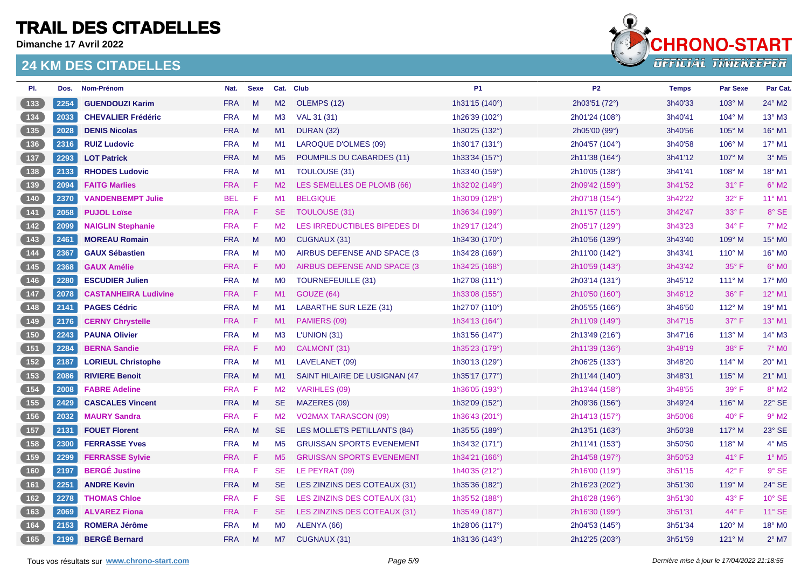**Dimanche 17 Avril 2022**



| PI.                                                | Dos. | Nom-Prénom                  | Nat.       | <b>Sexe</b> |                | Cat. Club                        | <b>P1</b>               | P <sub>2</sub> | <b>Temps</b> | <b>Par Sexe</b> | Par Cat.                 |
|----------------------------------------------------|------|-----------------------------|------------|-------------|----------------|----------------------------------|-------------------------|----------------|--------------|-----------------|--------------------------|
| $133$                                              | 2254 | <b>GUENDOUZI Karim</b>      | <b>FRA</b> | M           | M2             | OLEMPS (12)                      | 1h31'15 (140°)          | 2h03'51 (72°)  | 3h40'33      | 103° M          | 24° M2                   |
|                                                    | 2033 | <b>CHEVALIER Frédéric</b>   | <b>FRA</b> | M           | M3             | VAL 31 (31)                      | 1h26'39 (102°)          | 2h01'24 (108°) | 3h40'41      | 104° M          | 13° M3                   |
| (135)                                              | 2028 | <b>DENIS Nicolas</b>        | <b>FRA</b> | M           | M1             | <b>DURAN (32)</b>                | 1h30'25 (132°)          | 2h05'00 (99°)  | 3h40'56      | $105^\circ$ M   | 16° M1                   |
| $136$                                              | 2316 | <b>RUIZ Ludovic</b>         | <b>FRA</b> | M           | M1             | <b>LAROQUE D'OLMES (09)</b>      | 1h30'17 (131°)          | 2h04'57 (104°) | 3h40'58      | $106^\circ$ M   | 17° M1                   |
| 137                                                | 2293 | <b>LOT Patrick</b>          | <b>FRA</b> | M           | M <sub>5</sub> | POUMPILS DU CABARDES (11)        | 1h33'34 (157°)          | 2h11'38 (164°) | 3h41'12      | 107° M          | $3°$ M <sub>5</sub>      |
| $\boxed{138}$                                      | 2133 | <b>RHODES Ludovic</b>       | <b>FRA</b> | M           | M <sub>1</sub> | TOULOUSE (31)                    | 1h33'40 (159°)          | 2h10'05 (138°) | 3h41'41      | 108° M          | 18° M1                   |
| $\begin{bmatrix} 139 \end{bmatrix}$                | 2094 | <b>FAITG Marlies</b>        | <b>FRA</b> | F.          | M2             | LES SEMELLES DE PLOMB (66)       | 1h32'02 (149°)          | 2h09'42 (159°) | 3h41'52      | $31^{\circ}$ F  | $6^\circ$ M2             |
|                                                    | 2370 | <b>VANDENBEMPT Julie</b>    | <b>BEL</b> | F           | M1             | <b>BELGIQUE</b>                  | 1h30'09 (128°)          | 2h07'18 (154°) | 3h42'22      | 32° F           | 11° M1                   |
| (141)                                              | 2058 | <b>PUJOL Loïse</b>          | <b>FRA</b> | F           | <b>SE</b>      | TOULOUSE (31)                    | 1h36'34 (199°)          | 2h11'57 (115°) | 3h42'47      | $33^\circ$ F    | 8° SE                    |
| $\boxed{142}$                                      | 2099 | <b>NAIGLIN Stephanie</b>    | <b>FRA</b> | F           | M2             | LES IRREDUCTIBLES BIPEDES DI     | 1h29'17 (124°)          | 2h05'17 (129°) | 3h43'23      | $34^{\circ}$ F  | $7°$ M2                  |
| $\begin{array}{c} \boxed{143} \end{array}$         | 2461 | <b>MOREAU Romain</b>        | <b>FRA</b> | M           | <b>MO</b>      | CUGNAUX (31)                     | 1h34'30 (170°)          | 2h10'56 (139°) | 3h43'40      | 109° M          | 15° MO                   |
| $\begin{bmatrix} 144 \end{bmatrix}$                | 2367 | <b>GAUX Sébastien</b>       | <b>FRA</b> | M           | M <sub>0</sub> | AIRBUS DEFENSE AND SPACE (3      | 1h34'28 (169°)          | 2h11'00 (142°) | 3h43'41      | $110^{\circ}$ M | 16° M0                   |
| (145)                                              | 2368 | <b>GAUX Amélie</b>          | <b>FRA</b> | F           | M <sub>0</sub> | AIRBUS DEFENSE AND SPACE (3)     | 1h34'25 (168°)          | 2h10'59 (143°) | 3h43'42      | $35^{\circ}$ F  | $6°$ MO                  |
| $146$                                              | 2280 | <b>ESCUDIER Julien</b>      | <b>FRA</b> | M           | <b>MO</b>      | <b>TOURNEFEUILLE (31)</b>        | 1h27'08 $(111^{\circ})$ | 2h03'14 (131°) | 3h45'12      | $111^\circ$ M   | 17° MO                   |
| $147$                                              | 2078 | <b>CASTANHEIRA Ludivine</b> | <b>FRA</b> | F           | M1             | GOUZE (64)                       | 1h33'08 (155°)          | 2h10'50 (160°) | 3h46'12      | 36° F           | 12° M1                   |
| $148$                                              | 2141 | <b>PAGES Cédric</b>         | <b>FRA</b> | M           | M <sub>1</sub> | LABARTHE SUR LEZE (31)           | 1h27'07 (110°)          | 2h05'55 (166°) | 3h46'50      | 112° M          | 19° M1                   |
| $\sqrt{149}$                                       | 2176 | <b>CERNY Chrystelle</b>     | <b>FRA</b> | F           | M1             | PAMIERS (09)                     | 1h34'13 (164°)          | 2h11'09 (149°) | 3h47'15      | $37^\circ$ F    | $13^\circ$ M1            |
| (150)                                              | 2243 | <b>PAUNA Olivier</b>        | <b>FRA</b> | M           | M <sub>3</sub> | L'UNION (31)                     | 1h31'56 (147°)          | 2h13'49 (216°) | 3h47'16      | $113^\circ$ M   | 14° M3                   |
| 151                                                | 2284 | <b>BERNA Sandie</b>         | <b>FRA</b> | F           | M <sub>0</sub> | CALMONT (31)                     | 1h35'23 (179°)          | 2h11'39 (136°) | 3h48'19      | $38^\circ$ F    | $7^\circ$ MO             |
| $\begin{bmatrix} 152 \end{bmatrix}$                | 2187 | <b>LORIEUL Christophe</b>   | <b>FRA</b> | M           | M1             | LAVELANET (09)                   | 1h30'13 (129°)          | 2h06'25 (133°) | 3h48'20      | $114^\circ$ M   | 20° M1                   |
| 153                                                | 2086 | <b>RIVIERE Benoit</b>       | <b>FRA</b> | M           | M1             | SAINT HILAIRE DE LUSIGNAN (47    | 1h35'17 (177°)          | 2h11'44 (140°) | 3h48'31      | 115° M          | 21° M1                   |
| $154$                                              | 2008 | <b>FABRE Adeline</b>        | <b>FRA</b> | F           | M <sub>2</sub> | <b>VARIHLES (09)</b>             | 1h36'05 (193°)          | 2h13'44 (158°) | 3h48'55      | $39^\circ$ F    | $8^\circ$ M2             |
| 155                                                | 2429 | <b>CASCALES Vincent</b>     | <b>FRA</b> | M           | SE.            | MAZERES (09)                     | 1h32'09 (152°)          | 2h09'36 (156°) | 3h49'24      | $116^\circ$ M   | 22° SE                   |
| $\boxed{156}$                                      | 2032 | <b>MAURY Sandra</b>         | <b>FRA</b> | F           | M2             | <b>VO2MAX TARASCON (09)</b>      | 1h36'43 (201°)          | 2h14'13 (157°) | 3h50'06      | $40^{\circ}$ F  | $9°$ M <sub>2</sub>      |
| 157                                                | 2131 | <b>FOUET Florent</b>        | <b>FRA</b> | M           | SE.            | LES MOLLETS PETILLANTS (84)      | 1h35'55 (189°)          | 2h13'51 (163°) | 3h50'38      | 117° M          | 23° SE                   |
| 158                                                | 2300 | <b>FERRASSE Yves</b>        | <b>FRA</b> | M           | M <sub>5</sub> | <b>GRUISSAN SPORTS EVENEMENT</b> | 1h34'32 (171°)          | 2h11'41 (153°) | 3h50'50      | $118^\circ$ M   | $4^\circ$ M <sub>5</sub> |
| $\boxed{159}$                                      | 2299 | <b>FERRASSE Sylvie</b>      | <b>FRA</b> | F           | M <sub>5</sub> | <b>GRUISSAN SPORTS EVENEMENT</b> | 1h34'21 (166°)          | 2h14'58 (197°) | 3h50'53      | 41°F            | $1^\circ$ M5             |
| (160)                                              | 2197 | <b>BERGÉ Justine</b>        | <b>FRA</b> | F           | <b>SE</b>      | LE PEYRAT (09)                   | 1h40'35 (212°)          | 2h16'00 (119°) | 3h51'15      | $42^{\circ}$ F  | 9° SE                    |
| $\boxed{161}$                                      | 2251 | <b>ANDRE Kevin</b>          | <b>FRA</b> | M           | <b>SE</b>      | LES ZINZINS DES COTEAUX (31)     | 1h35'36 (182°)          | 2h16'23 (202°) | 3h51'30      | $119^\circ$ M   | 24° SE                   |
| $\begin{array}{ c c c }\n\hline\n162\n\end{array}$ | 2278 | <b>THOMAS Chloe</b>         | <b>FRA</b> | F           | SE.            | LES ZINZINS DES COTEAUX (31)     | 1h35'52 (188°)          | 2h16'28 (196°) | 3h51'30      | $43^\circ$ F    | 10° SE                   |
| $163$                                              | 2069 | <b>ALVAREZ Fiona</b>        | <b>FRA</b> | F           | <b>SE</b>      | LES ZINZINS DES COTEAUX (31)     | 1h35'49 (187°)          | 2h16'30 (199°) | 3h51'31      | 44° F           | 11° SE                   |
| 164                                                | 2153 | <b>ROMERA Jérôme</b>        | <b>FRA</b> | M           | <b>MO</b>      | ALENYA (66)                      | 1h28'06 (117°)          | 2h04'53 (145°) | 3h51'34      | 120° M          | 18° M0                   |
| [165]                                              | 2199 | <b>BERGÉ Bernard</b>        | <b>FRA</b> | M           | M7             | CUGNAUX (31)                     | 1h31'36 (143°)          | 2h12'25 (203°) | 3h51'59      | $121^\circ$ M   | $2^{\circ}$ M7           |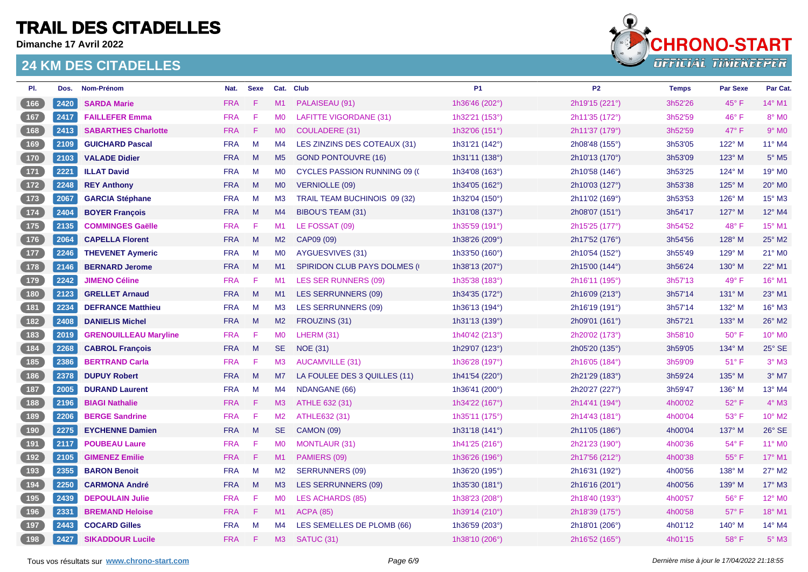**Dimanche 17 Avril 2022**



| PI.                                                                   | Dos. | Nom-Prénom                   | Nat.       | <b>Sexe</b> |                | Cat. Club                            | <b>P1</b>      | P <sub>2</sub> | <b>Temps</b> | <b>Par Sexe</b> | Par Cat.            |
|-----------------------------------------------------------------------|------|------------------------------|------------|-------------|----------------|--------------------------------------|----------------|----------------|--------------|-----------------|---------------------|
| $166$                                                                 | 2420 | <b>SARDA Marie</b>           | <b>FRA</b> | F           | M1             | PALAISEAU (91)                       | 1h36'46 (202°) | 2h19'15 (221°) | 3h52'26      | 45° F           | 14° M1              |
| $\boxed{167}$                                                         | 2417 | <b>FAILLEFER Emma</b>        | <b>FRA</b> | F           | M <sub>0</sub> | <b>LAFITTE VIGORDANE (31)</b>        | 1h32'21 (153°) | 2h11'35 (172°) | 3h52'59      | $46^{\circ}$ F  | 8° MO               |
| (168)                                                                 | 2413 | <b>SABARTHES Charlotte</b>   | <b>FRA</b> | F           | <b>MO</b>      | <b>COULADERE (31)</b>                | 1h32'06 (151°) | 2h11'37 (179°) | 3h52'59      | $47^\circ$ F    | $9°$ M <sub>0</sub> |
| $169$                                                                 | 2109 | <b>GUICHARD Pascal</b>       | <b>FRA</b> | M           | M4             | LES ZINZINS DES COTEAUX (31)         | 1h31'21 (142°) | 2h08'48 (155°) | 3h53'05      | 122° M          | 11° M4              |
| 170                                                                   | 2103 | <b>VALADE Didier</b>         | <b>FRA</b> | M           | M <sub>5</sub> | <b>GOND PONTOUVRE (16)</b>           | 1h31'11 (138°) | 2h10'13 (170°) | 3h53'09      | 123° M          | $5^\circ$ M5        |
| $\boxed{171}$                                                         | 2221 | <b>ILLAT David</b>           | <b>FRA</b> | M           | M <sub>0</sub> | <b>CYCLES PASSION RUNNING 09 (C)</b> | 1h34'08 (163°) | 2h10'58 (146°) | 3h53'25      | 124° M          | 19° MO              |
| $\begin{array}{c} \boxed{172} \end{array}$                            | 2248 | <b>REY Anthony</b>           | <b>FRA</b> | M           | <b>MO</b>      | <b>VERNIOLLE (09)</b>                | 1h34'05 (162°) | 2h10'03 (127°) | 3h53'38      | 125° M          | 20° MO              |
|                                                                       | 2067 | <b>GARCIA Stéphane</b>       | <b>FRA</b> | M           | M <sub>3</sub> | TRAIL TEAM BUCHINOIS 09 (32)         | 1h32'04 (150°) | 2h11'02 (169°) | 3h53'53      | $126^\circ$ M   | 15° M3              |
| $\begin{array}{c} \boxed{174} \end{array}$                            | 2404 | <b>BOYER François</b>        | <b>FRA</b> | M           | M4             | BIBOU'S TEAM (31)                    | 1h31'08 (137°) | 2h08'07 (151°) | 3h54'17      | 127° M          | 12° M4              |
| 175                                                                   | 2135 | <b>COMMINGES Gaëlle</b>      | <b>FRA</b> | F           | M1             | LE FOSSAT (09)                       | 1h35'59 (191°) | 2h15'25 (177°) | 3h54'52      | 48°F            | 15° M1              |
| $176$                                                                 | 2064 | <b>CAPELLA Florent</b>       | <b>FRA</b> | M           | M2             | CAP09 (09)                           | 1h38'26 (209°) | 2h17'52 (176°) | 3h54'56      | 128° M          | 25° M2              |
| $177$                                                                 | 2246 | <b>THEVENET Aymeric</b>      | <b>FRA</b> | M           | M <sub>0</sub> | AYGUESVIVES (31)                     | 1h33'50 (160°) | 2h10'54 (152°) | 3h55'49      | $129^\circ$ M   | 21° M0              |
| 178                                                                   | 2146 | <b>BERNARD Jerome</b>        | <b>FRA</b> | M           | M1             | <b>SPIRIDON CLUB PAYS DOLMES (I)</b> | 1h38'13 (207°) | 2h15'00 (144°) | 3h56'24      | $130^\circ$ M   | 22° M1              |
| $179$                                                                 | 2242 | <b>JIMENO Céline</b>         | <b>FRA</b> | F           | M <sub>1</sub> | <b>LES SER RUNNERS (09)</b>          | 1h35'38 (183°) | 2h16'11 (195°) | 3h57'13      | 49° F           | 16° M1              |
| (180)                                                                 | 2123 | <b>GRELLET Arnaud</b>        | <b>FRA</b> | M           | M1             | <b>LES SERRUNNERS (09)</b>           | 1h34'35 (172°) | 2h16'09 (213°) | 3h57'14      | $131^\circ$ M   | 23° M1              |
| $\begin{array}{c} \boxed{181} \end{array}$                            | 2234 | <b>DEFRANCE Matthieu</b>     | <b>FRA</b> | M           | M <sub>3</sub> | <b>LES SERRUNNERS (09)</b>           | 1h36'13 (194°) | 2h16'19 (191°) | 3h57'14      | 132° M          | 16° M3              |
| $\begin{array}{c} \hline 182 \end{array}$                             | 2408 | <b>DANIELIS Michel</b>       | <b>FRA</b> | M           | M2             | FROUZINS (31)                        | 1h31'13 (139°) | 2h09'01 (161°) | 3h57'21      | $133^\circ$ M   | 26° M2              |
| $183$                                                                 | 2019 | <b>GRENOUILLEAU Maryline</b> | <b>FRA</b> | F           | <b>MO</b>      | LHERM (31)                           | 1h40'42 (213°) | 2h20'02 (173°) | 3h58'10      | $50^{\circ}$ F  | 10° M0              |
| (184)                                                                 | 2268 | <b>CABROL François</b>       | <b>FRA</b> | M           | <b>SE</b>      | <b>NOE (31)</b>                      | 1h29'07 (123°) | 2h05'20 (135°) | 3h59'05      | 134° M          | 25° SE              |
| $\begin{array}{c} \hline 185 \end{array}$                             | 2386 | <b>BERTRAND Carla</b>        | <b>FRA</b> | -F          | M3             | <b>AUCAMVILLE (31)</b>               | 1h36'28 (197°) | 2h16'05 (184°) | 3h59'09      | $51^{\circ}$ F  | $3°$ M <sub>3</sub> |
| $186$                                                                 | 2378 | <b>DUPUY Robert</b>          | <b>FRA</b> | M           | M <sub>7</sub> | LA FOULEE DES 3 QUILLES (11)         | 1h41'54 (220°) | 2h21'29 (183°) | 3h59'24      | $135^\circ$ M   | $3°$ M7             |
| $\begin{array}{c} \n \begin{array}{c} 187 \end{array} \n \end{array}$ | 2005 | <b>DURAND Laurent</b>        | <b>FRA</b> | M           | M4             | <b>NDANGANE (66)</b>                 | 1h36'41 (200°) | 2h20'27 (227°) | 3h59'47      | $136^\circ$ M   | 13° M4              |
| 188                                                                   | 2196 | <b>BIAGI Nathalie</b>        | <b>FRA</b> | F           | M3             | ATHLE 632 (31)                       | 1h34'22 (167°) | 2h14'41 (194°) | 4h00'02      | $52^{\circ}$ F  | $4^\circ$ M3        |
| $\boxed{189}$                                                         | 2206 | <b>BERGE Sandrine</b>        | <b>FRA</b> | F           | M2             | ATHLE632 (31)                        | 1h35'11 (175°) | 2h14'43 (181°) | 4h00'04      | 53° F           | 10° M2              |
| (190)                                                                 | 2275 | <b>EYCHENNE Damien</b>       | <b>FRA</b> | M           | <b>SE</b>      | <b>CAMON (09)</b>                    | 1h31'18 (141°) | 2h11'05 (186°) | 4h00'04      | 137° M          | 26° SE              |
| (191)                                                                 | 2117 | <b>POUBEAU Laure</b>         | <b>FRA</b> | F           | <b>MO</b>      | <b>MONTLAUR (31)</b>                 | 1h41'25 (216°) | 2h21'23 (190°) | 4h00'36      | 54°F            | 11° M0              |
| $\begin{array}{c} \hline 192 \end{array}$                             | 2105 | <b>GIMENEZ Emilie</b>        | <b>FRA</b> | F           | M1             | PAMIERS (09)                         | 1h36'26 (196°) | 2h17'56 (212°) | 4h00'38      | $55^{\circ}$ F  | $17^{\circ}$ M1     |
| $\begin{array}{c} \boxed{193} \end{array}$                            | 2355 | <b>BARON Benoit</b>          | <b>FRA</b> | M           | M2             | <b>SERRUNNERS (09)</b>               | 1h36'20 (195°) | 2h16'31 (192°) | 4h00'56      | 138° M          | 27° M2              |
| (194)                                                                 | 2250 | <b>CARMONA André</b>         | <b>FRA</b> | M           | M <sub>3</sub> | <b>LES SERRUNNERS (09)</b>           | 1h35'30 (181°) | 2h16'16 (201°) | 4h00'56      | 139° M          | 17° M3              |
| $195$                                                                 | 2439 | <b>DEPOULAIN Julie</b>       | <b>FRA</b> | F           | MO             | <b>LES ACHARDS (85)</b>              | 1h38'23 (208°) | 2h18'40 (193°) | 4h00'57      | 56°F            | 12° MO              |
| 196                                                                   | 2331 | <b>BREMAND Heloise</b>       | <b>FRA</b> | F           | M1             | <b>ACPA (85)</b>                     | 1h39'14 (210°) | 2h18'39 (175°) | 4h00'58      | $57^\circ$ F    | 18° M1              |
| 197                                                                   | 2443 | <b>COCARD Gilles</b>         | <b>FRA</b> | M           | M4             | LES SEMELLES DE PLOMB (66)           | 1h36'59 (203°) | 2h18'01 (206°) | 4h01'12      | 140° M          | 14° M4              |
| 198                                                                   | 2427 | <b>SIKADDOUR Lucile</b>      | <b>FRA</b> | F.          | M3             | SATUC (31)                           | 1h38'10 (206°) | 2h16'52 (165°) | 4h01'15      | $58^{\circ}$ F  | $5^\circ$ M3        |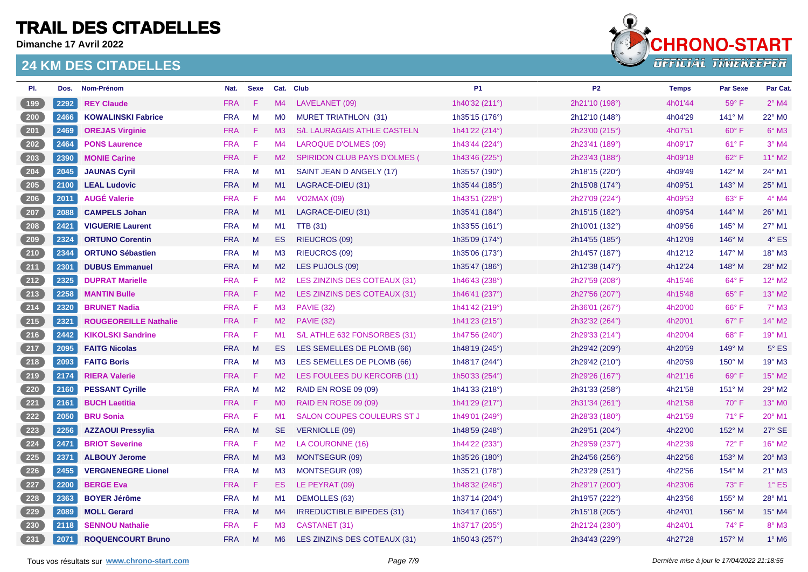**Dimanche 17 Avril 2022**



| PI.             | Dos. | Nom-Prénom                   | Nat.       | <b>Sexe</b>            |                | Cat. Club                           | <b>P1</b>      | P <sub>2</sub> | <b>Temps</b> | <b>Par Sexe</b> | Par Cat.      |
|-----------------|------|------------------------------|------------|------------------------|----------------|-------------------------------------|----------------|----------------|--------------|-----------------|---------------|
| (199)           | 2292 | <b>REY Claude</b>            | <b>FRA</b> | F                      | M4             | LAVELANET (09)                      | 1h40'32 (211°) | 2h21'10 (198°) | 4h01'44      | 59°F            | $2°$ M4       |
| $\sqrt{200}$    | 2466 | <b>KOWALINSKI Fabrice</b>    | <b>FRA</b> | M                      | M <sub>0</sub> | <b>MURET TRIATHLON (31)</b>         | 1h35'15 (176°) | 2h12'10 (148°) | 4h04'29      | 141° M          | 22° M0        |
| 201             | 2469 | <b>OREJAS Virginie</b>       | <b>FRA</b> | -F                     | M3             | S/L LAURAGAIS ATHLE CASTELN.        | 1h41'22 (214°) | 2h23'00 (215°) | 4h07'51      | $60^\circ$ F    | $6^\circ$ M3  |
| $202$           | 2464 | <b>PONS Laurence</b>         | <b>FRA</b> | F                      | M4             | LAROQUE D'OLMES (09)                | 1h43'44 (224°) | 2h23'41 (189°) | 4h09'17      | $61^{\circ}$ F  | $3°$ M4       |
| 203             | 2390 | <b>MONIE Carine</b>          | <b>FRA</b> | -F                     | M2             | <b>SPIRIDON CLUB PAYS D'OLMES (</b> | 1h43'46 (225°) | 2h23'43 (188°) | 4h09'18      | 62°F            | 11° M2        |
| 204             | 2045 | <b>JAUNAS Cyril</b>          | <b>FRA</b> | M                      | M1             | SAINT JEAN D ANGELY (17)            | 1h35'57 (190°) | 2h18'15 (220°) | 4h09'49      | 142° M          | 24° M1        |
| $\sqrt{205}$    | 2100 | <b>LEAL Ludovic</b>          | <b>FRA</b> | M                      | M1             | LAGRACE-DIEU (31)                   | 1h35'44 (185°) | 2h15'08 (174°) | 4h09'51      | 143° M          | 25° M1        |
| 206             | 2011 | <b>AUGÉ Valerie</b>          | <b>FRA</b> | -F                     | M4             | <b>VO2MAX (09)</b>                  | 1h43'51 (228°) | 2h27'09 (224°) | 4h09'53      | $63^\circ$ F    | $4^\circ$ M4  |
| 207             | 2088 | <b>CAMPELS Johan</b>         | <b>FRA</b> | M                      | M1             | LAGRACE-DIEU (31)                   | 1h35'41 (184°) | 2h15'15 (182°) | 4h09'54      | $144^\circ$ M   | 26° M1        |
| $208$           | 2421 | <b>VIGUERIE Laurent</b>      | <b>FRA</b> | M                      | M1             | <b>TTB</b> (31)                     | 1h33'55 (161°) | 2h10'01 (132°) | 4h09'56      | 145° M          | 27° M1        |
| (209)           | 2324 | <b>ORTUNO Corentin</b>       | <b>FRA</b> | M                      | ES.            | <b>RIEUCROS (09)</b>                | 1h35'09 (174°) | 2h14'55 (185°) | 4h12'09      | $146^\circ$ M   | $4^\circ$ ES  |
| $210$           | 2344 | <b>ORTUNO Sébastien</b>      | <b>FRA</b> | M                      | M <sub>3</sub> | RIEUCROS (09)                       | 1h35'06 (173°) | 2h14'57 (187°) | 4h12'12      | 147° M          | 18° M3        |
| (211)           | 2301 | <b>DUBUS Emmanuel</b>        | <b>FRA</b> | M                      | M2             | LES PUJOLS (09)                     | 1h35'47 (186°) | 2h12'38 (147°) | 4h12'24      | $148^\circ$ M   | 28° M2        |
| 212             | 2325 | <b>DUPRAT Marielle</b>       | <b>FRA</b> | -F                     | M2             | LES ZINZINS DES COTEAUX (31)        | 1h46'43 (238°) | 2h27'59 (208°) | 4h15'46      | 64°F            | 12° M2        |
| (213)           | 2258 | <b>MANTIN Bulle</b>          | <b>FRA</b> | -F                     | M2             | LES ZINZINS DES COTEAUX (31)        | 1h46'41 (237°) | 2h27'56 (207°) | 4h15'48      | 65°F            | 13° M2        |
| $\frac{214}{ }$ | 2320 | <b>BRUNET Nadia</b>          | <b>FRA</b> | F                      | M3             | <b>PAVIE (32)</b>                   | 1h41'42 (219°) | 2h36'01 (267°) | 4h20'00      | 66°F            | $7^\circ$ M3  |
| $\boxed{215}$   | 2321 | <b>ROUGEOREILLE Nathalie</b> | <b>FRA</b> | -F                     | M2             | <b>PAVIE (32)</b>                   | 1h41'23 (215°) | 2h32'32 (264°) | 4h20'01      | 67°F            | 14° M2        |
| (216)           | 2442 | <b>KIKOLSKI Sandrine</b>     | <b>FRA</b> | -F                     | M <sub>1</sub> | S/L ATHLE 632 FONSORBES (31)        | 1h47'56 (240°) | 2h29'33 (214°) | 4h20'04      | 68°F            | 19° M1        |
| (217)           | 2095 | <b>FAITG Nicolas</b>         | <b>FRA</b> | M                      | ES.            | LES SEMELLES DE PLOMB (66)          | 1h48'19 (245°) | 2h29'42 (209°) | 4h20'59      | 149° M          | $5^\circ$ ES  |
| $218$           | 2093 | <b>FAITG Boris</b>           | <b>FRA</b> | M                      | M <sub>3</sub> | LES SEMELLES DE PLOMB (66)          | 1h48'17 (244°) | 2h29'42 (210°) | 4h20'59      | $150^\circ$ M   | 19° M3        |
| (219)           | 2174 | <b>RIERA Valerie</b>         | <b>FRA</b> | -F                     | M2             | LES FOULEES DU KERCORB (11)         | 1h50'33 (254°) | 2h29'26 (167°) | 4h21'16      | 69°F            | 15° M2        |
| $220$           | 2160 | <b>PESSANT Cyrille</b>       | <b>FRA</b> | M                      | M <sub>2</sub> | <b>RAID EN ROSE 09 (09)</b>         | 1h41'33 (218°) | 2h31'33 (258°) | 4h21'58      | 151° M          | 29° M2        |
| 221             | 2161 | <b>BUCH Laetitia</b>         | <b>FRA</b> | -F                     | <b>MO</b>      | <b>RAID EN ROSE 09 (09)</b>         | 1h41'29 (217°) | 2h31'34 (261°) | 4h21'58      | $70^\circ$ F    | 13° MO        |
| 222             | 2050 | <b>BRU Sonia</b>             | <b>FRA</b> | -F                     | M <sub>1</sub> | SALON COUPES COULEURS ST J          | 1h49'01 (249°) | 2h28'33 (180°) | 4h21'59      | $71^{\circ}$ F  | 20° M1        |
| 223             | 2256 | <b>AZZAOUI Pressylia</b>     | <b>FRA</b> | M                      | <b>SE</b>      | <b>VERNIOLLE (09)</b>               | 1h48'59 (248°) | 2h29'51 (204°) | 4h22'00      | 152° M          | 27° SE        |
| 224             | 2471 | <b>BRIOT Severine</b>        | <b>FRA</b> | $\mid \mathsf{F} \mid$ | M2             | LA COURONNE (16)                    | 1h44'22 (233°) | 2h29'59 (237°) | 4h22'39      | 72°F            | 16° M2        |
| $225$           | 2371 | <b>ALBOUY Jerome</b>         | <b>FRA</b> | M                      | M3             | MONTSEGUR (09)                      | 1h35'26 (180°) | 2h24'56 (256°) | 4h22'56      | 153° M          | $20^\circ$ M3 |
| 226             | 2455 | <b>VERGNENEGRE Lionel</b>    | <b>FRA</b> | M                      | M3             | MONTSEGUR (09)                      | 1h35'21 (178°) | 2h23'29 (251°) | 4h22'56      | $154^\circ$ M   | $21^\circ$ M3 |
| 227             | 2200 | <b>BERGE Eva</b>             | <b>FRA</b> | -F                     | ES.            | LE PEYRAT (09)                      | 1h48'32 (246°) | 2h29'17 (200°) | 4h23'06      | 73° F           | $1^\circ$ ES  |
| $228$           | 2363 | <b>BOYER Jérôme</b>          | <b>FRA</b> | M                      | M1             | DEMOLLES (63)                       | 1h37'14 (204°) | 2h19'57 (222°) | 4h23'56      | 155° M          | 28° M1        |
| 229             | 2089 | <b>MOLL Gerard</b>           | <b>FRA</b> | M                      | M4             | <b>IRREDUCTIBLE BIPEDES (31)</b>    | 1h34'17 (165°) | 2h15'18 (205°) | 4h24'01      | 156° M          | 15° M4        |
| $230$           | 2118 | <b>SENNOU Nathalie</b>       | <b>FRA</b> | F                      | M3             | CASTANET (31)                       | 1h37'17 (205°) | 2h21'24 (230°) | 4h24'01      | 74°F            | 8° M3         |
| 231             | 2071 | <b>ROQUENCOURT Bruno</b>     | <b>FRA</b> | M                      | M <sub>6</sub> | LES ZINZINS DES COTEAUX (31)        | 1h50'43 (257°) | 2h34'43 (229°) | 4h27'28      | 157° M          | $1^\circ$ M6  |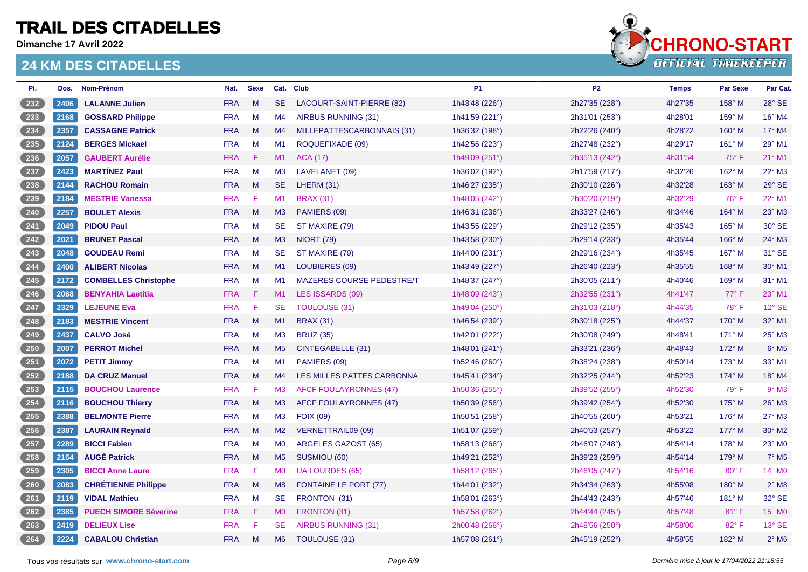**Dimanche 17 Avril 2022**



| PI.                                 | Dos. | Nom-Prénom                   | Nat.       | <b>Sexe</b> |                | Cat. Club                        | <b>P1</b>      | P <sub>2</sub> | <b>Temps</b> | Par Sexe      | Par Cat.                   |
|-------------------------------------|------|------------------------------|------------|-------------|----------------|----------------------------------|----------------|----------------|--------------|---------------|----------------------------|
| $\frac{232}{2}$                     | 2406 | <b>LALANNE Julien</b>        | <b>FRA</b> | M           | <b>SE</b>      | LACOURT-SAINT-PIERRE (82)        | 1h43'48 (226°) | 2h27'35 (228°) | 4h27'35      | $158^\circ$ M | 28° SE                     |
| $233$                               | 2168 | <b>GOSSARD Philippe</b>      | <b>FRA</b> | M           | M4             | AIRBUS RUNNING (31)              | 1h41'59 (221°) | 2h31'01 (253°) | 4h28'01      | 159° M        | 16° M4                     |
| $\frac{234}{ }$                     | 2357 | <b>CASSAGNE Patrick</b>      | <b>FRA</b> | M           | M4             | MILLEPATTESCARBONNAIS (31)       | 1h36'32 (198°) | 2h22'26 (240°) | 4h28'22      | 160° M        | 17° M4                     |
| $235$                               | 2124 | <b>BERGES Mickael</b>        | <b>FRA</b> | M           | M1             | ROQUEFIXADE (09)                 | 1h42'56 (223°) | 2h27'48 (232°) | 4h29'17      | 161° M        | 29° M1                     |
| $\frac{236}{ }$                     | 2057 | <b>GAUBERT Aurélie</b>       | <b>FRA</b> | -F.         | M1             | <b>ACA (17)</b>                  | 1h49'09 (251°) | 2h35'13 (242°) | 4h31'54      | 75° F         | 21° M1                     |
| $237$                               | 2423 | <b>MARTÍNEZ Paul</b>         | <b>FRA</b> | M           | M <sub>3</sub> | LAVELANET (09)                   | 1h36'02 (192°) | 2h17'59 (217°) | 4h32'26      | 162° M        | 22° M3                     |
| $\overline{238}$                    | 2144 | <b>RACHOU Romain</b>         | <b>FRA</b> | M           | <b>SE</b>      | LHERM (31)                       | 1h46'27 (235°) | 2h30'10 (226°) | 4h32'28      | $163^\circ$ M | 29° SE                     |
| 239                                 | 2184 | <b>MESTRIE Vanessa</b>       | <b>FRA</b> | F.          | M1             | <b>BRAX (31)</b>                 | 1h48'05 (242°) | 2h30'20 (219°) | 4h32'29      | 76°F          | 22° M1                     |
| 240                                 | 2257 | <b>BOULET Alexis</b>         | <b>FRA</b> | M           | M3             | PAMIERS (09)                     | 1h46'31 (236°) | 2h33'27 (246°) | 4h34'46      | 164° M        | 23° M3                     |
| 241                                 | 2049 | <b>PIDOU Paul</b>            | <b>FRA</b> | M           | <b>SE</b>      | ST MAXIRE (79)                   | 1h43'55 (229°) | 2h29'12 (235°) | 4h35'43      | 165° M        | 30° SE                     |
| $\frac{242}{ }$                     | 2021 | <b>BRUNET Pascal</b>         | <b>FRA</b> | M           | M3             | <b>NIORT (79)</b>                | 1h43'58 (230°) | 2h29'14 (233°) | 4h35'44      | $166^\circ$ M | 24° M3                     |
| $243$                               | 2048 | <b>GOUDEAU Remi</b>          | <b>FRA</b> | M           | <b>SE</b>      | ST MAXIRE (79)                   | 1h44'00 (231°) | 2h29'16 (234°) | 4h35'45      | 167° M        | 31° SE                     |
| $\frac{244}{ }$                     | 2400 | <b>ALIBERT Nicolas</b>       | <b>FRA</b> | M           | M1             | LOUBIERES (09)                   | 1h43'49 (227°) | 2h26'40 (223°) | 4h35'55      | 168° M        | 30° M1                     |
| $245$                               | 2172 | <b>COMBELLES Christophe</b>  | <b>FRA</b> | M           | M1             | <b>MAZERES COURSE PEDESTRE/T</b> | 1h48'37 (247°) | 2h30'05 (211°) | 4h40'46      | 169° M        | 31° M1                     |
| $246$                               | 2068 | <b>BENYAHIA Laetitia</b>     | <b>FRA</b> | -F.         | M1             | LES ISSARDS (09)                 | 1h48'09 (243°) | 2h32'55 (231°) | 4h41'47      | 77° F         | 23° M1                     |
| 247                                 | 2329 | <b>LEJEUNE Eva</b>           | <b>FRA</b> | F           | <b>SE</b>      | TOULOUSE (31)                    | 1h49'04 (250°) | 2h31'03 (218°) | 4h44'35      | 78°F          | 12° SE                     |
| $\left(248\right)$                  | 2183 | <b>MESTRIE Vincent</b>       | <b>FRA</b> | M           | M1             | <b>BRAX (31)</b>                 | 1h46'54 (239°) | 2h30'18 (225°) | 4h44'37      | 170° M        | 32° M1                     |
| $249$                               | 2437 | <b>CALVO José</b>            | <b>FRA</b> | M           | M3             | <b>BRUZ (35)</b>                 | 1h42'01 (222°) | 2h30'08 (249°) | 4h48'41      | $171^\circ$ M | 25° M3                     |
| $\overline{250}$                    | 2007 | <b>PERROT Michel</b>         | <b>FRA</b> | M           | M <sub>5</sub> | CINTEGABELLE (31)                | 1h48'01 (241°) | 2h33'21 (236°) | 4h48'43      | 172° M        | $6^\circ$ M <sub>5</sub>   |
| 251                                 | 2072 | <b>PETIT Jimmy</b>           | <b>FRA</b> | M           | M1             | PAMIERS (09)                     | 1h52'46 (260°) | 2h38'24 (238°) | 4h50'14      | 173° M        | 33° M1                     |
| 252                                 | 2188 | <b>DA CRUZ Manuel</b>        | <b>FRA</b> | M           | M4             | LES MILLES PATTES CARBONNAI      | 1h45'41 (234°) | 2h32'25 (244°) | 4h52'23      | 174° M        | 18° M4                     |
| $253$                               | 2115 | <b>BOUCHOU Laurence</b>      | <b>FRA</b> | F           | M <sub>3</sub> | <b>AFCF FOULAYRONNES (47)</b>    | 1h50'36 (255°) | 2h39'52 (255°) | 4h52'30      | 79° F         | $9°$ M3                    |
| $\frac{254}{ }$                     | 2116 | <b>BOUCHOU Thierry</b>       | <b>FRA</b> | M           | M3             | AFCF FOULAYRONNES (47)           | 1h50'39 (256°) | 2h39'42 (254°) | 4h52'30      | 175° M        | 26° M3                     |
| $255$                               | 2388 | <b>BELMONTE Pierre</b>       | <b>FRA</b> | M           | M <sub>3</sub> | <b>FOIX (09)</b>                 | 1h50'51 (258°) | 2h40'55 (260°) | 4h53'21      | $176^\circ$ M | 27° M3                     |
| 256                                 | 2387 | <b>LAURAIN Reynald</b>       | <b>FRA</b> | M           | M2             | VERNETTRAIL09 (09)               | 1h51'07 (259°) | 2h40'53 (257°) | 4h53'22      | $177^\circ$ M | 30° M2                     |
| $257$                               | 2289 | <b>BICCI Fabien</b>          | <b>FRA</b> | M           | M0             | ARGELES GAZOST (65)              | 1h58'13 (266°) | 2h46'07 (248°) | 4h54'14      | 178° M        | 23° MO                     |
| $\frac{258}{ }$                     | 2154 | <b>AUGÉ Patrick</b>          | <b>FRA</b> | M           | M <sub>5</sub> | SUSMIOU (60)                     | 1h49'21 (252°) | 2h39'23 (259°) | 4h54'14      | 179° M        | $7°$ M <sub>5</sub>        |
| $259$                               | 2305 | <b>BICCI Anne Laure</b>      | <b>FRA</b> | F           | <b>MO</b>      | <b>UA LOURDES (65)</b>           | 1h58'12 (265°) | 2h46'05 (247°) | 4h54'16      | 80°F          | 14° MO                     |
| $\frac{260}{ }$                     | 2083 | <b>CHRÉTIENNE Philippe</b>   | <b>FRA</b> | M           | M8             | <b>FONTAINE LE PORT (77)</b>     | 1h44'01 (232°) | 2h34'34 (263°) | 4h55'08      | $180^\circ$ M | $2^{\circ}$ M <sub>8</sub> |
| 261                                 | 2119 | <b>VIDAL Mathieu</b>         | <b>FRA</b> | M           | <b>SE</b>      | FRONTON (31)                     | 1h58'01 (263°) | 2h44'43 (243°) | 4h57'46      | 181° M        | 32° SE                     |
| 262                                 | 2385 | <b>PUECH SIMORE Séverine</b> | <b>FRA</b> | $-F$        | M <sub>0</sub> | FRONTON (31)                     | 1h57'58 (262°) | 2h44'44 (245°) | 4h57'48      | 81°F          | 15° MO                     |
| $263$                               | 2419 | <b>DELIEUX Lise</b>          | <b>FRA</b> | Æ           | <b>SE</b>      | AIRBUS RUNNING (31)              | 2h00'48 (268°) | 2h48'56 (250°) | 4h58'00      | 82° F         | 13° SE                     |
| $\begin{bmatrix} 264 \end{bmatrix}$ | 2224 | <b>CABALOU Christian</b>     | <b>FRA</b> | M           | M <sub>6</sub> | TOULOUSE (31)                    | 1h57'08 (261°) | 2h45'19 (252°) | 4h58'55      | 182° M        | $2^{\circ}$ M6             |